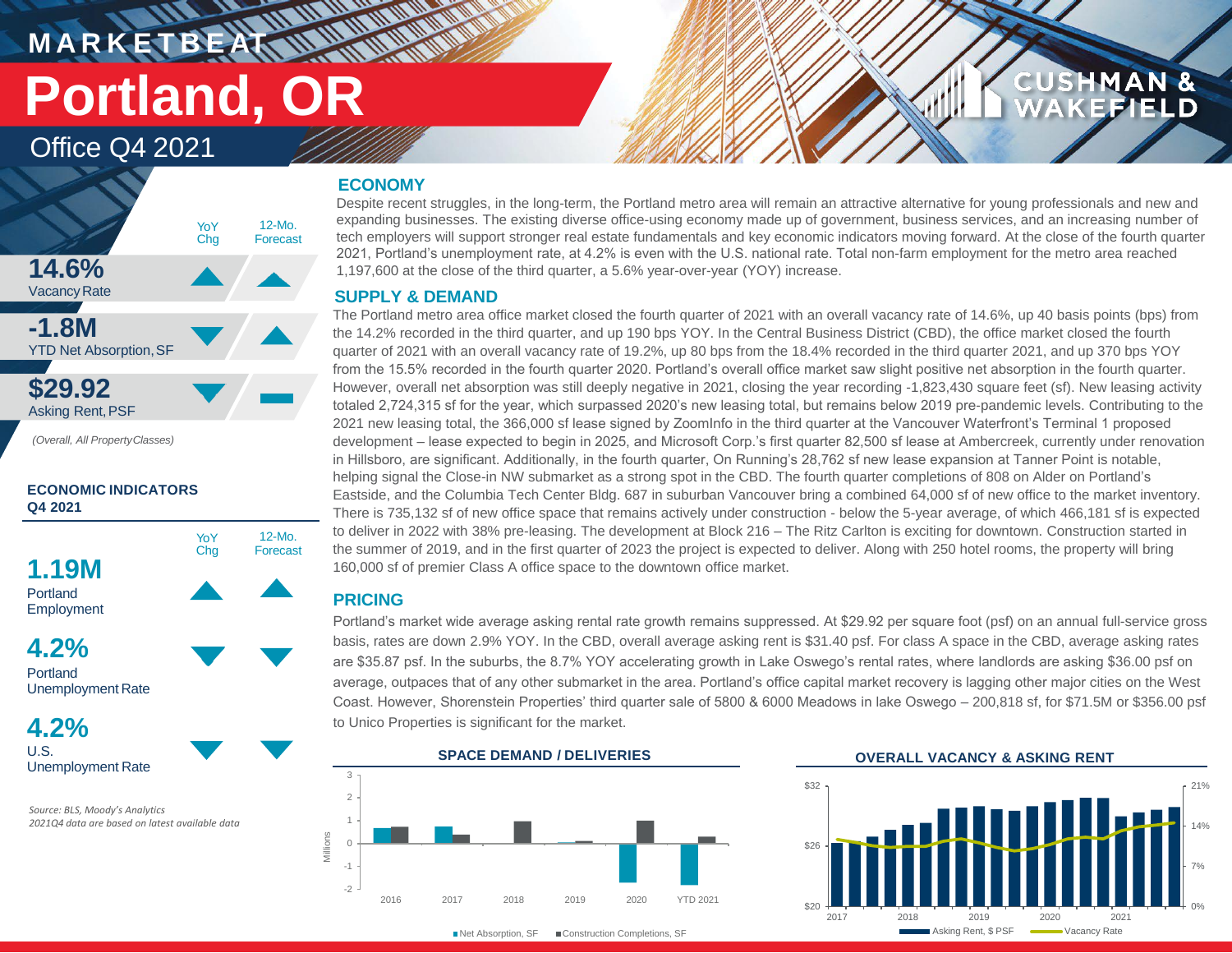# **M A R K E T B E AT Portland, OR**

# Office Q4 2021



**ECONOMIC INDICATORS Q4 2021**



Portland Unemployment Rate

**4.2%** U.S. Unemployment Rate

*Source: BLS, Moody's Analytics 2021Q4 data are based on latest available data*

## **ECONOMY**

**TENNANDIAN** 

Despite recent struggles, in the long-term, the Portland metro area will remain an attractive alternative for young professionals and new and expanding businesses. The existing diverse office-using economy made up of government, business services, and an increasing number of tech employers will support stronger real estate fundamentals and key economic indicators moving forward. At the close of the fourth quarter 2021, Portland's unemployment rate, at 4.2% is even with the U.S. national rate. Total non-farm employment for the metro area reached 1,197,600 at the close of the third quarter, a 5.6% year-over-year (YOY) increase.

## **SUPPLY & DEMAND**

The Portland metro area office market closed the fourth quarter of 2021 with an overall vacancy rate of 14.6%, up 40 basis points (bps) from the 14.2% recorded in the third quarter, and up 190 bps YOY. In the Central Business District (CBD), the office market closed the fourth quarter of 2021 with an overall vacancy rate of 19.2%, up 80 bps from the 18.4% recorded in the third quarter 2021, and up 370 bps YOY from the 15.5% recorded in the fourth quarter 2020. Portland's overall office market saw slight positive net absorption in the fourth quarter. However, overall net absorption was still deeply negative in 2021, closing the year recording -1,823,430 square feet (sf). New leasing activity totaled 2,724,315 sf for the year, which surpassed 2020's new leasing total, but remains below 2019 pre-pandemic levels. Contributing to the 2021 new leasing total, the 366,000 sf lease signed by ZoomInfo in the third quarter at the Vancouver Waterfront's Terminal 1 proposed development – lease expected to begin in 2025, and Microsoft Corp.'s first quarter 82,500 sf lease at Ambercreek, currently under renovation in Hillsboro, are significant. Additionally, in the fourth quarter, On Running's 28,762 sf new lease expansion at Tanner Point is notable, helping signal the Close-in NW submarket as a strong spot in the CBD. The fourth quarter completions of 808 on Alder on Portland's Eastside, and the Columbia Tech Center Bldg. 687 in suburban Vancouver bring a combined 64,000 sf of new office to the market inventory. There is 735,132 sf of new office space that remains actively under construction - below the 5-year average, of which 466,181 sf is expected to deliver in 2022 with 38% pre-leasing. The development at Block 216 – The Ritz Carlton is exciting for downtown. Construction started in the summer of 2019, and in the first quarter of 2023 the project is expected to deliver. Along with 250 hotel rooms, the property will bring 160,000 sf of premier Class A office space to the downtown office market.

## **PRICING**

12-Mo. Forecast

> Portland's market wide average asking rental rate growth remains suppressed. At \$29.92 per square foot (psf) on an annual full-service gross basis, rates are down 2.9% YOY. In the CBD, overall average asking rent is \$31.40 psf. For class A space in the CBD, average asking rates are \$35.87 psf. In the suburbs, the 8.7% YOY accelerating growth in Lake Oswego's rental rates, where landlords are asking \$36.00 psf on average, outpaces that of any other submarket in the area. Portland's office capital market recovery is lagging other major cities on the West Coast. However, Shorenstein Properties' third quarter sale of 5800 & 6000 Meadows in lake Oswego – 200,818 sf, for \$71.5M or \$356.00 psf to Unico Properties is significant for the market.

-2 -1 0 1 2 3 2016 2017 2018 2019 2020 YTD 2021 Millions

■Net Absorption, SF ■ Construction Completions, SF

### **SPACE DEMAND / DELIVERIES OVERALL VACANCY & ASKING RENT**



**CUSHMAN &** 

FIEL D